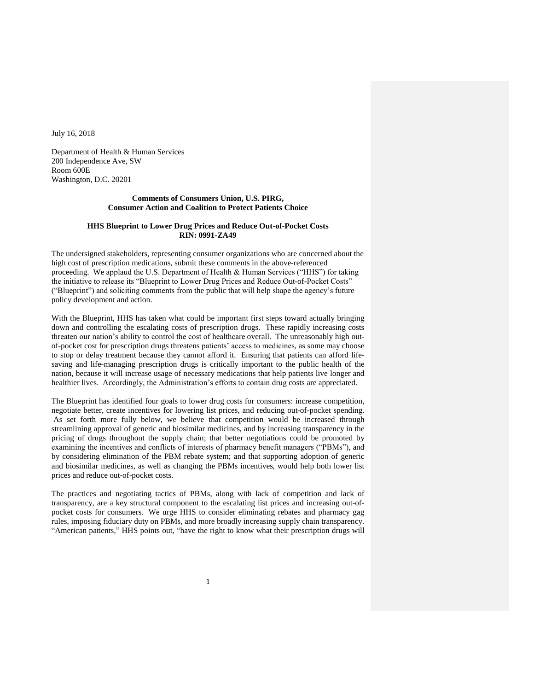July 16, 2018

Department of Health & Human Services 200 Independence Ave, SW Room 600E Washington, D.C. 20201

# **Comments of Consumers Union, U.S. PIRG, Consumer Action and Coalition to Protect Patients Choice**

## **HHS Blueprint to Lower Drug Prices and Reduce Out-of-Pocket Costs RIN: 0991-ZA49**

The undersigned stakeholders, representing consumer organizations who are concerned about the high cost of prescription medications, submit these comments in the above-referenced proceeding. We applaud the U.S. Department of Health  $\&$  Human Services ("HHS") for taking the initiative to release its "Blueprint to Lower Drug Prices and Reduce Out-of-Pocket Costs" ("Blueprint") and soliciting comments from the public that will help shape the agency's future policy development and action.

With the Blueprint, HHS has taken what could be important first steps toward actually bringing down and controlling the escalating costs of prescription drugs. These rapidly increasing costs threaten our nation's ability to control the cost of healthcare overall. The unreasonably high outof-pocket cost for prescription drugs threatens patients' access to medicines, as some may choose to stop or delay treatment because they cannot afford it. Ensuring that patients can afford lifesaving and life-managing prescription drugs is critically important to the public health of the nation, because it will increase usage of necessary medications that help patients live longer and healthier lives. Accordingly, the Administration's efforts to contain drug costs are appreciated.

The Blueprint has identified four goals to lower drug costs for consumers: increase competition, negotiate better, create incentives for lowering list prices, and reducing out-of-pocket spending. As set forth more fully below, we believe that competition would be increased through streamlining approval of generic and biosimilar medicines, and by increasing transparency in the pricing of drugs throughout the supply chain; that better negotiations could be promoted by examining the incentives and conflicts of interests of pharmacy benefit managers ("PBMs"), and by considering elimination of the PBM rebate system; and that supporting adoption of generic and biosimilar medicines, as well as changing the PBMs incentives, would help both lower list prices and reduce out-of-pocket costs.

The practices and negotiating tactics of PBMs, along with lack of competition and lack of transparency, are a key structural component to the escalating list prices and increasing out-ofpocket costs for consumers. We urge HHS to consider eliminating rebates and pharmacy gag rules, imposing fiduciary duty on PBMs, and more broadly increasing supply chain transparency. "American patients," HHS points out, "have the right to know what their prescription drugs will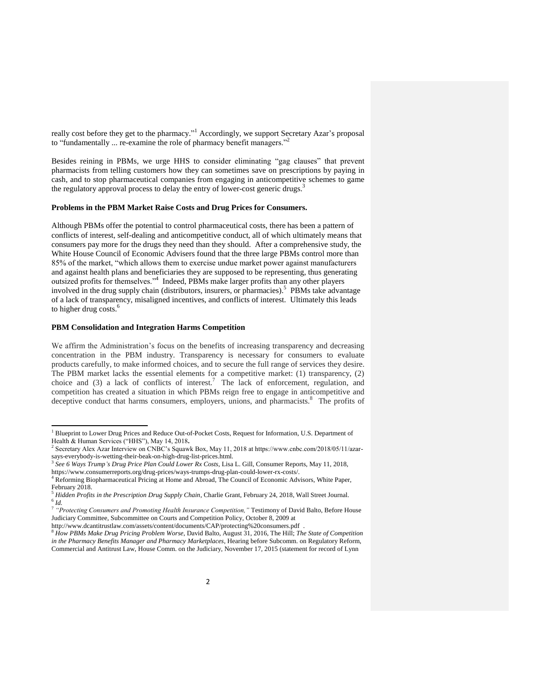really cost before they get to the pharmacy."<sup>1</sup> Accordingly, we support Secretary Azar's proposal to "fundamentally ... re-examine the role of pharmacy benefit managers."

Besides reining in PBMs, we urge HHS to consider eliminating "gag clauses" that prevent pharmacists from telling customers how they can sometimes save on prescriptions by paying in cash, and to stop pharmaceutical companies from engaging in anticompetitive schemes to game the regulatory approval process to delay the entry of lower-cost generic drugs.<sup>3</sup>

#### **Problems in the PBM Market Raise Costs and Drug Prices for Consumers.**

Although PBMs offer the potential to control pharmaceutical costs, there has been a pattern of conflicts of interest, self-dealing and anticompetitive conduct, all of which ultimately means that consumers pay more for the drugs they need than they should. After a comprehensive study, the White House Council of Economic Advisers found that the three large PBMs control more than 85% of the market, "which allows them to exercise undue market power against manufacturers and against health plans and beneficiaries they are supposed to be representing, thus generating outsized profits for themselves."<sup>4</sup> Indeed, PBMs make larger profits than any other players involved in the drug supply chain (distributors, insurers, or pharmacies).<sup>5</sup> PBMs take advantage of a lack of transparency, misaligned incentives, and conflicts of interest. Ultimately this leads to higher drug costs. $<sup>6</sup>$ </sup>

#### **PBM Consolidation and Integration Harms Competition**

 $\overline{a}$ 

We affirm the Administration's focus on the benefits of increasing transparency and decreasing concentration in the PBM industry. Transparency is necessary for consumers to evaluate products carefully, to make informed choices, and to secure the full range of services they desire. The PBM market lacks the essential elements for a competitive market: (1) transparency, (2) choice and (3) a lack of conflicts of interest.<sup>7</sup> The lack of enforcement, regulation, and competition has created a situation in which PBMs reign free to engage in anticompetitive and deceptive conduct that harms consumers, employers, unions, and pharmacists.<sup>8</sup> The profits of

<sup>&</sup>lt;sup>1</sup> Blueprint to Lower Drug Prices and Reduce Out-of-Pocket Costs, Request for Information, U.S. Department of Health & Human Services ("HHS"), May 14, 2018**.**

<sup>&</sup>lt;sup>2</sup> Secretary Alex Azar Interview on CNBC's Squawk Box, May 11, 2018 at https://www.cnbc.com/2018/05/11/azarsays-everybody-is-wetting-their-beak-on-high-drug-list-prices.html.<br><sup>3</sup> See 6 Ways Twyn 's Dwys Brice Blan Could Lawer By Costs, Lise.

*See 6 Ways Trump's Drug Price Plan Could Lower Rx Costs,* Lisa L. Gill, Consumer Reports, May 11, 2018, https://www.consumerreports.org/drug-prices/ways-trumps-drug-plan-could-lower-rx-costs/.

<sup>&</sup>lt;sup>4</sup> Reforming Biopharmaceutical Pricing at Home and Abroad, The Council of Economic Advisors, White Paper, February 2018.

<sup>5</sup> *Hidden Profits in the Prescription Drug Supply Chain*, Charlie Grant, February 24, 2018, Wall Street Journal. 6 *Id.*

<sup>7</sup> *"Protecting Consumers and Promoting Health Insurance Competition,"* Testimony of David Balto, Before House Judiciary Committee, Subcommittee on Courts and Competition Policy, October 8, 2009 at

http://www.dcantitrustlaw.com/assets/content/documents/CAP/protecting%20consumers.pdf .

<sup>8</sup> *How PBMs Make Drug Pricing Problem Worse*, David Balto, August 31, 2016, The Hill; *The State of Competition in the Pharmacy Benefits Manager and Pharmacy Marketplaces*, Hearing before Subcomm. on Regulatory Reform, Commercial and Antitrust Law, House Comm. on the Judiciary, November 17, 2015 (statement for record of Lynn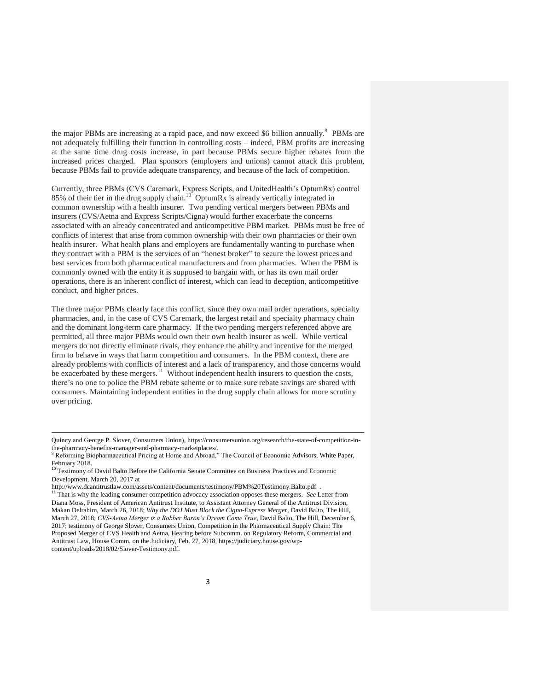the major PBMs are increasing at a rapid pace, and now exceed \$6 billion annually.<sup>9</sup> PBMs are not adequately fulfilling their function in controlling costs – indeed, PBM profits are increasing at the same time drug costs increase, in part because PBMs secure higher rebates from the increased prices charged. Plan sponsors (employers and unions) cannot attack this problem, because PBMs fail to provide adequate transparency, and because of the lack of competition.

Currently, three PBMs (CVS Caremark, Express Scripts, and UnitedHealth's OptumRx) control 85% of their tier in the drug supply chain.<sup>10</sup> OptumRx is already vertically integrated in common ownership with a health insurer. Two pending vertical mergers between PBMs and insurers (CVS/Aetna and Express Scripts/Cigna) would further exacerbate the concerns associated with an already concentrated and anticompetitive PBM market. PBMs must be free of conflicts of interest that arise from common ownership with their own pharmacies or their own health insurer. What health plans and employers are fundamentally wanting to purchase when they contract with a PBM is the services of an "honest broker" to secure the lowest prices and best services from both pharmaceutical manufacturers and from pharmacies. When the PBM is commonly owned with the entity it is supposed to bargain with, or has its own mail order operations, there is an inherent conflict of interest, which can lead to deception, anticompetitive conduct, and higher prices.

The three major PBMs clearly face this conflict, since they own mail order operations, specialty pharmacies, and, in the case of CVS Caremark, the largest retail and specialty pharmacy chain and the dominant long-term care pharmacy. If the two pending mergers referenced above are permitted, all three major PBMs would own their own health insurer as well. While vertical mergers do not directly eliminate rivals, they enhance the ability and incentive for the merged firm to behave in ways that harm competition and consumers. In the PBM context, there are already problems with conflicts of interest and a lack of transparency, and those concerns would be exacerbated by these mergers.<sup>11</sup> Without independent health insurers to question the costs, there's no one to police the PBM rebate scheme or to make sure rebate savings are shared with consumers. Maintaining independent entities in the drug supply chain allows for more scrutiny over pricing.

 $\overline{a}$ 

Quincy and George P. Slover, Consumers Union), https://consumersunion.org/research/the-state-of-competition-inthe-pharmacy-benefits-manager-and-pharmacy-marketplaces/.

Reforming Biopharmaceutical Pricing at Home and Abroad," The Council of Economic Advisors, White Paper, February 2018.

<sup>&</sup>lt;sup>10</sup> Testimony of David Balto Before the California Senate Committee on Business Practices and Economic Development, March 20, 2017 at

http://www.dcantitrustlaw.com/assets/content/documents/testimony/PBM%20Testimony.Balto.pdf .

<sup>11</sup> That is why the leading consumer competition advocacy association opposes these mergers. *See* Letter from Diana Moss, President of American Antitrust Institute, to Assistant Attorney General of the Antitrust Division, Makan Delrahim, March 26, 2018; *Why the DOJ Must Block the Cigna-Express Merger*, David Balto, The Hill, March 27, 2018; *CVS-Aetna Merger is a Robber Baron's Dream Come True*, David Balto, The Hill, December 6, 2017; testimony of George Slover, Consumers Union, Competition in the Pharmaceutical Supply Chain: The Proposed Merger of CVS Health and Aetna, Hearing before Subcomm. on Regulatory Reform, Commercial and Antitrust Law, House Comm. on the Judiciary, Feb. 27, 2018, https://judiciary.house.gov/wpcontent/uploads/2018/02/Slover-Testimony.pdf.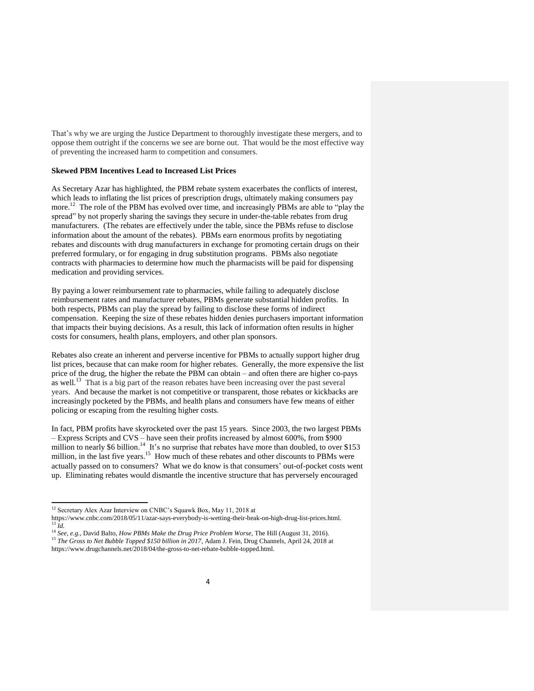That's why we are urging the Justice Department to thoroughly investigate these mergers, and to oppose them outright if the concerns we see are borne out. That would be the most effective way of preventing the increased harm to competition and consumers.

### **Skewed PBM Incentives Lead to Increased List Prices**

As Secretary Azar has highlighted, the PBM rebate system exacerbates the conflicts of interest, which leads to inflating the list prices of prescription drugs, ultimately making consumers pay more.<sup>12</sup> The role of the PBM has evolved over time, and increasingly PBMs are able to "play the spread" by not properly sharing the savings they secure in under-the-table rebates from drug manufacturers. (The rebates are effectively under the table, since the PBMs refuse to disclose information about the amount of the rebates). PBMs earn enormous profits by negotiating rebates and discounts with drug manufacturers in exchange for promoting certain drugs on their preferred formulary, or for engaging in drug substitution programs. PBMs also negotiate contracts with pharmacies to determine how much the pharmacists will be paid for dispensing medication and providing services.

By paying a lower reimbursement rate to pharmacies, while failing to adequately disclose reimbursement rates and manufacturer rebates, PBMs generate substantial hidden profits. In both respects, PBMs can play the spread by failing to disclose these forms of indirect compensation. Keeping the size of these rebates hidden denies purchasers important information that impacts their buying decisions. As a result, this lack of information often results in higher costs for consumers, health plans, employers, and other plan sponsors.

Rebates also create an inherent and perverse incentive for PBMs to actually support higher drug list prices, because that can make room for higher rebates. Generally, the more expensive the list price of the drug, the higher the rebate the PBM can obtain – and often there are higher co-pays as well.<sup>13</sup> That is a big part of the reason rebates have been increasing over the past several years. And because the market is not competitive or transparent, those rebates or kickbacks are increasingly pocketed by the PBMs, and health plans and consumers have few means of either policing or escaping from the resulting higher costs.

In fact, PBM profits have skyrocketed over the past 15 years. Since 2003, the two largest PBMs – Express Scripts and CVS – have seen their profits increased by almost 600%, from \$900 million to nearly \$6 billion.<sup>14</sup> It's no surprise that rebates have more than doubled, to over \$153 million, in the last five years.<sup>15</sup> How much of these rebates and other discounts to PBMs were actually passed on to consumers? What we do know is that consumers' out-of-pocket costs went up. Eliminating rebates would dismantle the incentive structure that has perversely encouraged

 $\overline{a}$ 

<sup>&</sup>lt;sup>12</sup> Secretary Alex Azar Interview on CNBC's Squawk Box, May 11, 2018 at

https://www.cnbc.com/2018/05/11/azar-says-everybody-is-wetting-their-beak-on-high-drug-list-prices.html. <sup>13</sup> *Id.*

<sup>14</sup> *See, e.g.*, David Balto, *How PBMs Make the Drug Price Problem Worse*, The Hill (August 31, 2016).

<sup>&</sup>lt;sup>15</sup> The Gross to Net Bubble Topped \$150 billion in 2017, Adam J. Fein, Drug Channels, April 24, 2018 at https://www.drugchannels.net/2018/04/the-gross-to-net-rebate-bubble-topped.html.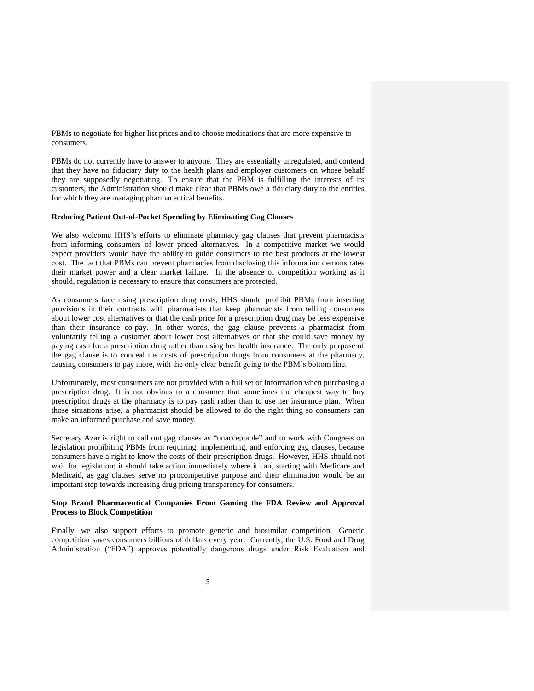PBMs to negotiate for higher list prices and to choose medications that are more expensive to consumers.

PBMs do not currently have to answer to anyone. They are essentially unregulated, and contend that they have no fiduciary duty to the health plans and employer customers on whose behalf they are supposedly negotiating. To ensure that the PBM is fulfilling the interests of its customers, the Administration should make clear that PBMs owe a fiduciary duty to the entities for which they are managing pharmaceutical benefits.

## **Reducing Patient Out-of-Pocket Spending by Eliminating Gag Clauses**

We also welcome HHS's efforts to eliminate pharmacy gag clauses that prevent pharmacists from informing consumers of lower priced alternatives. In a competitive market we would expect providers would have the ability to guide consumers to the best products at the lowest cost. The fact that PBMs can prevent pharmacies from disclosing this information demonstrates their market power and a clear market failure. In the absence of competition working as it should, regulation is necessary to ensure that consumers are protected.

As consumers face rising prescription drug costs, HHS should prohibit PBMs from inserting provisions in their contracts with pharmacists that keep pharmacists from telling consumers about lower cost alternatives or that the cash price for a prescription drug may be less expensive than their insurance co-pay. In other words, the gag clause prevents a pharmacist from voluntarily telling a customer about lower cost alternatives or that she could save money by paying cash for a prescription drug rather than using her health insurance. The only purpose of the gag clause is to conceal the costs of prescription drugs from consumers at the pharmacy, causing consumers to pay more, with the only clear benefit going to the PBM's bottom line.

Unfortunately, most consumers are not provided with a full set of information when purchasing a prescription drug. It is not obvious to a consumer that sometimes the cheapest way to buy prescription drugs at the pharmacy is to pay cash rather than to use her insurance plan. When those situations arise, a pharmacist should be allowed to do the right thing so consumers can make an informed purchase and save money.

Secretary Azar is right to call out gag clauses as "unacceptable" and to work with Congress on legislation prohibiting PBMs from requiring, implementing, and enforcing gag clauses, because consumers have a right to know the costs of their prescription drugs. However, HHS should not wait for legislation; it should take action immediately where it can, starting with Medicare and Medicaid, as gag clauses serve no procompetitive purpose and their elimination would be an important step towards increasing drug pricing transparency for consumers.

### **Stop Brand Pharmaceutical Companies From Gaming the FDA Review and Approval Process to Block Competition**

Finally, we also support efforts to promote generic and biosimilar competition. Generic competition saves consumers billions of dollars every year. Currently, the U.S. Food and Drug Administration ("FDA") approves potentially dangerous drugs under Risk Evaluation and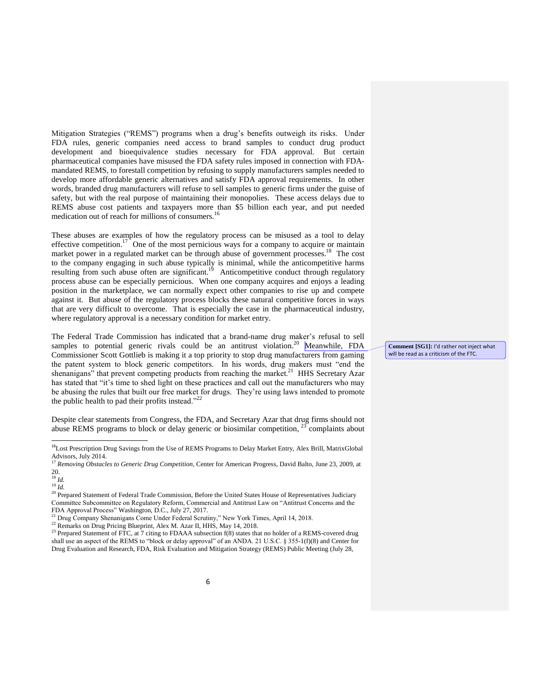Mitigation Strategies ("REMS") programs when a drug's benefits outweigh its risks. Under FDA rules, generic companies need access to brand samples to conduct drug product development and bioequivalence studies necessary for FDA approval. But certain pharmaceutical companies have misused the FDA safety rules imposed in connection with FDAmandated REMS, to forestall competition by refusing to supply manufacturers samples needed to develop more affordable generic alternatives and satisfy FDA approval requirements. In other words, branded drug manufacturers will refuse to sell samples to generic firms under the guise of safety, but with the real purpose of maintaining their monopolies. These access delays due to REMS abuse cost patients and taxpayers more than \$5 billion each year, and put needed medication out of reach for millions of consumers.<sup>16</sup>

These abuses are examples of how the regulatory process can be misused as a tool to delay effective competition.<sup>17</sup> One of the most pernicious ways for a company to acquire or maintain market power in a regulated market can be through abuse of government processes.<sup>18</sup> The cost to the company engaging in such abuse typically is minimal, while the anticompetitive harms resulting from such abuse often are significant.<sup>19</sup> Anticompetitive conduct through regulatory process abuse can be especially pernicious. When one company acquires and enjoys a leading position in the marketplace, we can normally expect other companies to rise up and compete against it. But abuse of the regulatory process blocks these natural competitive forces in ways that are very difficult to overcome. That is especially the case in the pharmaceutical industry, where regulatory approval is a necessary condition for market entry.

The Federal Trade Commission has indicated that a brand-name drug maker's refusal to sell samples to potential generic rivals could be an antitrust violation.<sup>20</sup> Meanwhile, FDA Commissioner Scott Gottlieb is making it a top priority to stop drug manufacturers from gaming the patent system to block generic competitors. In his words, drug makers must "end the shenanigans" that prevent competing products from reaching the market.<sup>21</sup> HHS Secretary Azar has stated that "it's time to shed light on these practices and call out the manufacturers who may be abusing the rules that built our free market for drugs. They're using laws intended to promote the public health to pad their profits instead."<sup>22</sup>

Despite clear statements from Congress, the FDA, and Secretary Azar that drug firms should not abuse REMS programs to block or delay generic or biosimilar competition,  $23$  complaints about

 $\overline{a}$ 

**Comment [SG1]:** I'd rather not inject what will be read as a criticism of the FTC.

<sup>&</sup>lt;sup>16</sup>Lost Prescription Drug Savings from the Use of REMS Programs to Delay Market Entry, Alex Brill, MatrixGlobal Advisors, July 2014. <sup>17</sup> *Removing Obstacles to Generic Drug Competition*, Center for American Progress, David Balto, June 23, 2009, at

<sup>20.</sup>

<sup>18</sup> *Id.*

<sup>19</sup> *Id.*

<sup>&</sup>lt;sup>20</sup> Prepared Statement of Federal Trade Commission, Before the United States House of Representatives Judiciary Committee Subcommittee on Regulatory Reform, Commercial and Antitrust Law on "Antitrust Concerns and the FDA Approval Process" Washington, D.C., July 27, 2017.

<sup>&</sup>lt;sup>21</sup> Drug Company Shenanigans Come Under Federal Scrutiny," New York Times, April 14, 2018.

<sup>&</sup>lt;sup>22</sup> Remarks on Drug Pricing Blueprint, Alex M. Azar II, HHS, May 14, 2018.

<sup>&</sup>lt;sup>23</sup> Prepared Statement of FTC, at  $7$  citing to FDAAA subsection f(8) states that no holder of a REMS-covered drug shall use an aspect of the REMS to "block or delay approval" of an ANDA. 21 U.S.C. § 355-1(f)(8) and Center for Drug Evaluation and Research, FDA, Risk Evaluation and Mitigation Strategy (REMS) Public Meeting (July 28,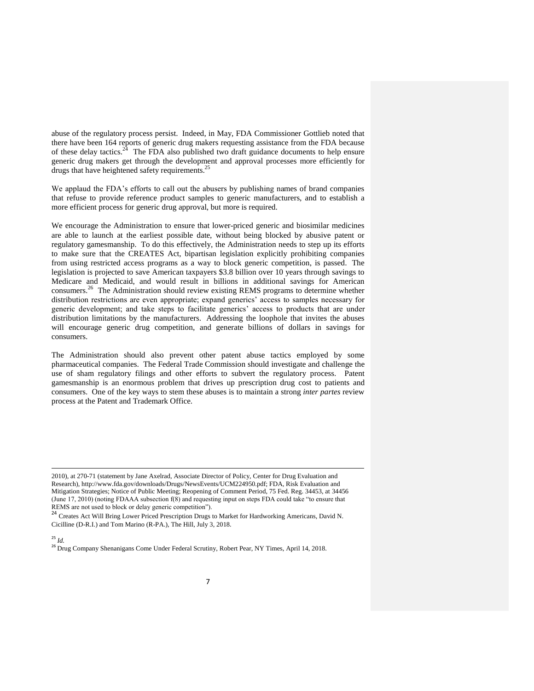abuse of the regulatory process persist. Indeed, in May, FDA Commissioner Gottlieb noted that there have been 164 reports of generic drug makers requesting assistance from the FDA because of these delay tactics.<sup>24</sup> The FDA also published two draft guidance documents to help ensure generic drug makers get through the development and approval processes more efficiently for drugs that have heightened safety requirements.<sup>25</sup>

We applaud the FDA's efforts to call out the abusers by publishing names of brand companies that refuse to provide reference product samples to generic manufacturers, and to establish a more efficient process for generic drug approval, but more is required.

We encourage the Administration to ensure that lower-priced generic and biosimilar medicines are able to launch at the earliest possible date, without being blocked by abusive patent or regulatory gamesmanship. To do this effectively, the Administration needs to step up its efforts to make sure that the CREATES Act, bipartisan legislation explicitly prohibiting companies from using restricted access programs as a way to block generic competition, is passed. The legislation is projected to save American taxpayers \$3.8 billion over 10 years through savings to Medicare and Medicaid, and would result in billions in additional savings for American consumers.<sup>26</sup> The Administration should review existing REMS programs to determine whether distribution restrictions are even appropriate; expand generics' access to samples necessary for generic development; and take steps to facilitate generics' access to products that are under distribution limitations by the manufacturers. Addressing the loophole that invites the abuses will encourage generic drug competition, and generate billions of dollars in savings for consumers.

The Administration should also prevent other patent abuse tactics employed by some pharmaceutical companies. The Federal Trade Commission should investigate and challenge the use of sham regulatory filings and other efforts to subvert the regulatory process. Patent gamesmanship is an enormous problem that drives up prescription drug cost to patients and consumers. One of the key ways to stem these abuses is to maintain a strong *inter partes* review process at the Patent and Trademark Office.

## <sup>25</sup> *Id.*

 $\overline{a}$ 

<sup>26</sup> Drug Company Shenanigans Come Under Federal Scrutiny, Robert Pear, NY Times, April 14, 2018.

<sup>2010),</sup> at 270-71 (statement by Jane Axelrad, Associate Director of Policy, Center for Drug Evaluation and Research), http://www.fda.gov/downloads/Drugs/NewsEvents/UCM224950.pdf; FDA, Risk Evaluation and Mitigation Strategies; Notice of Public Meeting; Reopening of Comment Period, 75 Fed. Reg. 34453, at 34456 (June 17, 2010) (noting FDAAA subsection f(8) and requesting input on steps FDA could take "to ensure that REMS are not used to block or delay generic competition").

<sup>24</sup> Creates Act Will Bring Lower Priced Prescription Drugs to Market for Hardworking Americans, David N. Cicilline (D-R.I.) and Tom Marino (R-PA.), The Hill, July 3, 2018.